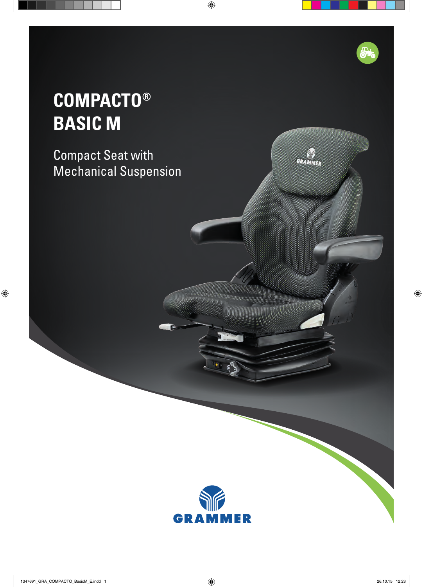## **COMPACTO® BASIC M**

Compact Seat with Mechanical Suspension



**CYTHER**